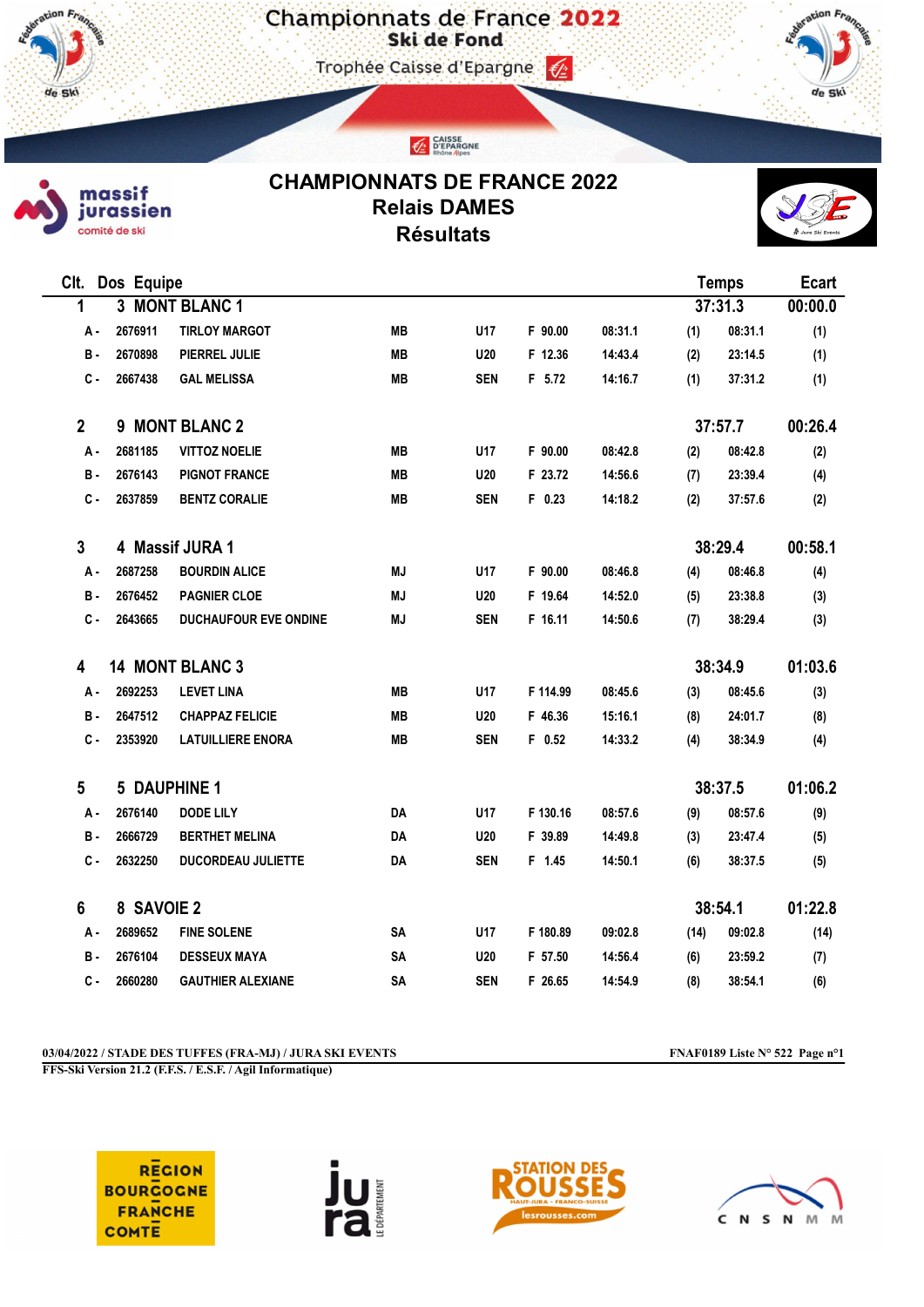Championnats de France 2022

Trophée Caisse d'Epargne





de Sk

## CHAMPIONNATS DE FRANCE 2022 Relais DAMES Résultats

CAISSE<br>CEPARGNE



| CIt.<br>Dos Equipe   |                 |                              |           |                 |          |         | <b>Temps</b> |         | <b>Ecart</b> |
|----------------------|-----------------|------------------------------|-----------|-----------------|----------|---------|--------------|---------|--------------|
| 1                    |                 | 3 MONT BLANC 1               |           |                 |          |         | 37:31.3      |         | 00:00.0      |
| А -                  | 2676911         | <b>TIRLOY MARGOT</b>         | <b>MB</b> | U17             | F 90.00  | 08:31.1 | (1)          | 08:31.1 | (1)          |
| в.                   | 2670898         | PIERREL JULIE                | <b>MB</b> | <b>U20</b>      | F 12.36  | 14:43.4 | (2)          | 23:14.5 | (1)          |
| $c -$                | 2667438         | <b>GAL MELISSA</b>           | <b>MB</b> | <b>SEN</b>      | F 5.72   | 14:16.7 | (1)          | 37:31.2 | (1)          |
| $\mathbf{2}$         | 9 MONT BLANC 2  |                              |           |                 |          |         |              | 37:57.7 | 00:26.4      |
| А.                   | 2681185         | <b>VITTOZ NOELIE</b>         | <b>MB</b> | U <sub>17</sub> | F 90.00  | 08:42.8 | (2)          | 08:42.8 | (2)          |
| В.                   | 2676143         | <b>PIGNOT FRANCE</b>         | <b>MB</b> | <b>U20</b>      | F 23.72  | 14:56.6 | (7)          | 23:39.4 | (4)          |
| $c -$                | 2637859         | <b>BENTZ CORALIE</b>         | <b>MB</b> | <b>SEN</b>      | $F$ 0.23 | 14:18.2 | (2)          | 37:57.6 | (2)          |
| 3                    | 4 Massif JURA 1 |                              |           |                 | 38:29.4  | 00:58.1 |              |         |              |
| А -                  | 2687258         | <b>BOURDIN ALICE</b>         | MJ        | U17             | F 90.00  | 08:46.8 | (4)          | 08:46.8 | (4)          |
| в.                   | 2676452         | <b>PAGNIER CLOE</b>          | ΜJ        | <b>U20</b>      | F 19.64  | 14:52.0 | (5)          | 23:38.8 | (3)          |
| $c -$                | 2643665         | <b>DUCHAUFOUR EVE ONDINE</b> | MJ        | <b>SEN</b>      | F 16.11  | 14:50.6 | (7)          | 38:29.4 | (3)          |
| 14 MONT BLANC 3<br>4 |                 |                              |           |                 |          |         |              | 38:34.9 | 01:03.6      |
| А -                  | 2692253         | <b>LEVET LINA</b>            | <b>MB</b> | U17             | F 114.99 | 08:45.6 | (3)          | 08:45.6 | (3)          |
| в.                   | 2647512         | <b>CHAPPAZ FELICIE</b>       | <b>MB</b> | <b>U20</b>      | F 46.36  | 15:16.1 | (8)          | 24:01.7 | (8)          |
| C-                   | 2353920         | <b>LATUILLIERE ENORA</b>     | MВ        | <b>SEN</b>      | $F$ 0.52 | 14:33.2 | (4)          | 38:34.9 | (4)          |
| 5                    | 5 DAUPHINE 1    |                              |           |                 |          |         |              | 38:37.5 | 01:06.2      |
| А.                   | 2676140         | <b>DODE LILY</b>             | DA        | U17             | F 130.16 | 08:57.6 | (9)          | 08:57.6 | (9)          |
| в.                   | 2666729         | <b>BERTHET MELINA</b>        | DA        | <b>U20</b>      | F 39.89  | 14:49.8 | (3)          | 23:47.4 | (5)          |
| c.                   | 2632250         | <b>DUCORDEAU JULIETTE</b>    | DA        | SEN             | F 1.45   | 14:50.1 | (6)          | 38:37.5 | (5)          |
| 6                    | 8 SAVOIE 2      |                              |           |                 |          |         | 38:54.1      |         | 01:22.8      |
| А -                  | 2689652         | <b>FINE SOLENE</b>           | <b>SA</b> | U17             | F 180.89 | 09:02.8 | (14)         | 09:02.8 | (14)         |
| в.                   | 2676104         | <b>DESSEUX MAYA</b>          | SA        | <b>U20</b>      | F 57.50  | 14:56.4 | (6)          | 23:59.2 | (7)          |
| с.                   | 2660280         | <b>GAUTHIER ALEXIANE</b>     | SA        | <b>SEN</b>      | F 26.65  | 14:54.9 | (8)          | 38:54.1 | (6)          |

03/04/2022 / STADE DES TUFFES (FRA-MJ) / JURA SKI EVENTS FNAF0189 Liste N° 522 Page n°1

FFS-Ski Version 21.2 (F.F.S. / E.S.F. / Agil Informatique)

**REGION BOURCOGNE FRANCHE COMTE** 





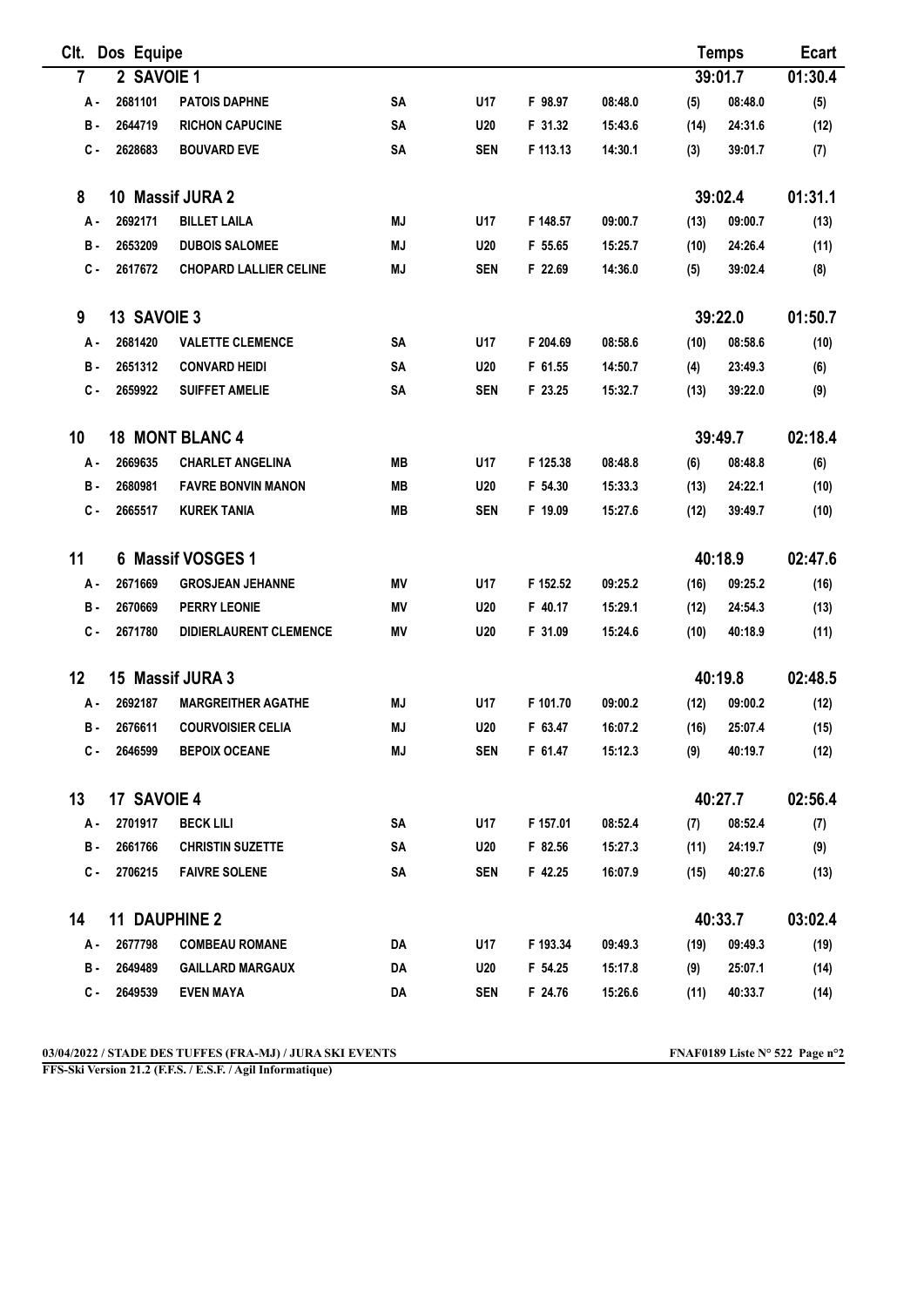| Clt.       | Dos Equipe           |                                   |           |            |          |         | <b>Temps</b> |         | <b>Ecart</b> |
|------------|----------------------|-----------------------------------|-----------|------------|----------|---------|--------------|---------|--------------|
| 7          | 2 SAVOIE 1           | 39:01.7                           |           |            |          |         | 01:30.4      |         |              |
| А.         | 2681101              | <b>PATOIS DAPHNE</b>              | <b>SA</b> | U17        | F 98.97  | 08:48.0 | (5)          | 08:48.0 | (5)          |
| в.         | 2644719              | <b>RICHON CAPUCINE</b>            | SA        | U20        | F 31.32  | 15:43.6 | (14)         | 24:31.6 | (12)         |
| с.         | 2628683              | <b>BOUVARD EVE</b>                | <b>SA</b> | <b>SEN</b> | F 113.13 | 14:30.1 | (3)          | 39:01.7 | (7)          |
| 8          |                      | 10 Massif JURA 2                  |           |            |          |         |              | 39:02.4 | 01:31.1      |
| А.         | 2692171              | <b>BILLET LAILA</b>               | <b>MJ</b> | U17        | F 148.57 | 09:00.7 | (13)         | 09:00.7 | (13)         |
| в.         | 2653209              | <b>DUBOIS SALOMEE</b>             | <b>MJ</b> | <b>U20</b> | F 55.65  | 15:25.7 | (10)         | 24:26.4 | (11)         |
| $c -$      | 2617672              | <b>CHOPARD LALLIER CELINE</b>     | <b>MJ</b> | <b>SEN</b> | F 22.69  | 14:36.0 | (5)          | 39:02.4 | (8)          |
| 9          | 13 SAVOIE 3          |                                   |           |            |          |         | 39:22.0      |         | 01:50.7      |
| А.         | 2681420              | <b>VALETTE CLEMENCE</b>           | SA        | U17        | F 204.69 | 08:58.6 | (10)         | 08:58.6 | (10)         |
| в.         | 2651312              | <b>CONVARD HEIDI</b>              | <b>SA</b> | U20        | F 61.55  | 14:50.7 | (4)          | 23:49.3 | (6)          |
| $c -$      | 2659922              | <b>SUIFFET AMELIE</b>             | <b>SA</b> | <b>SEN</b> | F 23.25  | 15:32.7 | (13)         | 39:22.0 | (9)          |
| 10         |                      | <b>18 MONT BLANC 4</b><br>39:49.7 |           |            |          |         | 02:18.4      |         |              |
| А.         | 2669635              | <b>CHARLET ANGELINA</b>           | MВ        | U17        | F 125.38 | 08:48.8 | (6)          | 08:48.8 | (6)          |
| <b>B</b> - | 2680981              | <b>FAVRE BONVIN MANON</b>         | MВ        | <b>U20</b> | F 54.30  | 15:33.3 | (13)         | 24:22.1 | (10)         |
| с.         | 2665517              | <b>KUREK TANIA</b>                | <b>MB</b> | <b>SEN</b> | F 19.09  | 15:27.6 | (12)         | 39:49.7 | (10)         |
| 11         | 6 Massif VOSGES 1    |                                   |           |            |          |         |              | 40:18.9 | 02:47.6      |
| А.         | 2671669              | <b>GROSJEAN JEHANNE</b>           | ΜV        | U17        | F 152.52 | 09:25.2 | (16)         | 09:25.2 | (16)         |
| <b>B</b> - | 2670669              | <b>PERRY LEONIE</b>               | ΜV        | U20        | F 40.17  | 15:29.1 | (12)         | 24:54.3 | (13)         |
| C -        | 2671780              | <b>DIDIERLAURENT CLEMENCE</b>     | MV        | <b>U20</b> | F 31.09  | 15:24.6 | (10)         | 40:18.9 | (11)         |
| 12         |                      | 15 Massif JURA 3                  |           |            |          |         |              | 40:19.8 | 02:48.5      |
| А.         | 2692187              | <b>MARGREITHER AGATHE</b>         | ΜJ        | U17        | F 101.70 | 09:00.2 | (12)         | 09:00.2 | (12)         |
| в.         | 2676611              | <b>COURVOISIER CELIA</b>          | <b>MJ</b> | U20        | F 63.47  | 16:07.2 | (16)         | 25:07.4 | (15)         |
| С-         | 2646599              | <b>BEPOIX OCEANE</b>              | MJ        | <b>SEN</b> | F 61.47  | 15:12.3 | (9)          | 40:19.7 | (12)         |
| 13         | 17 SAVOIE 4          |                                   |           |            |          |         |              | 40:27.7 | 02:56.4      |
| А-         | 2701917              | <b>BECK LILI</b>                  | SA        | U17        | F 157.01 | 08:52.4 | (7)          | 08:52.4 | (7)          |
| в.         | 2661766              | <b>CHRISTIN SUZETTE</b>           | SA        | <b>U20</b> | F 82.56  | 15:27.3 | (11)         | 24:19.7 | (9)          |
| c.         | 2706215              | <b>FAIVRE SOLENE</b>              | SΑ        | <b>SEN</b> | F 42.25  | 16:07.9 | (15)         | 40:27.6 | (13)         |
| 14         | <b>11 DAUPHINE 2</b> |                                   |           |            |          |         | 40:33.7      |         | 03:02.4      |
| А.         | 2677798              | <b>COMBEAU ROMANE</b>             | DA        | U17        | F 193.34 | 09:49.3 | (19)         | 09:49.3 | (19)         |
| в.         | 2649489              | <b>GAILLARD MARGAUX</b>           | DA        | <b>U20</b> | F 54.25  | 15:17.8 | (9)          | 25:07.1 | (14)         |
| с.         | 2649539              | <b>EVEN MAYA</b>                  | DA        | <b>SEN</b> | F 24.76  | 15:26.6 | (11)         | 40:33.7 | (14)         |

FFS-Ski Version 21.2 (F.F.S. / E.S.F. / Agil Informatique)